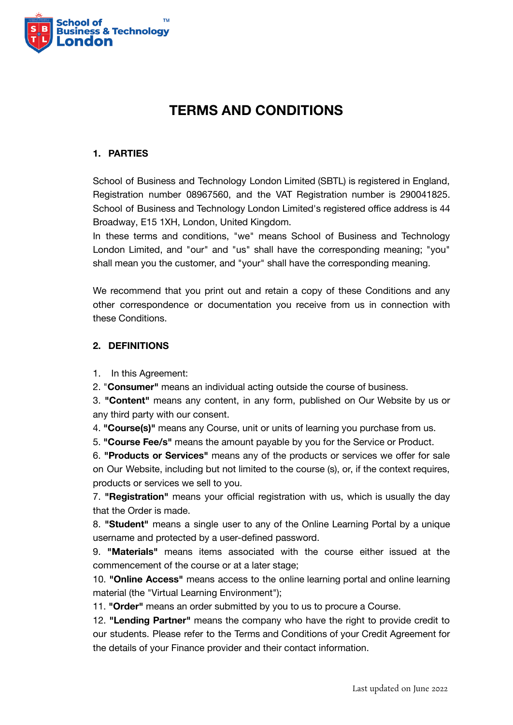

# **TERMS AND CONDITIONS**

## **1. PARTIES**

School of Business and Technology London Limited (SBTL) is registered in England, Registration number 08967560, and the VAT Registration number is 290041825. School of Business and Technology London Limited's registered office address is 44 Broadway, E15 1XH, London, United Kingdom.

In these terms and conditions, "we" means School of Business and Technology London Limited, and "our" and "us" shall have the corresponding meaning; "you" shall mean you the customer, and "your" shall have the corresponding meaning.

We recommend that you print out and retain a copy of these Conditions and any other correspondence or documentation you receive from us in connection with these Conditions.

## **2. DEFINITIONS**

1. In this Agreement:

2. "**Consumer"** means an individual acting outside the course of business.

3. **"Content"** means any content, in any form, published on Our Website by us or any third party with our consent.

4. **"Course(s)"** means any Course, unit or units of learning you purchase from us.

5. **"Course Fee/s"** means the amount payable by you for the Service or Product.

6. **"Products or Services"** means any of the products or services we offer for sale on Our Website, including but not limited to the course (s), or, if the context requires, products or services we sell to you.

7. **"Registration"** means your official registration with us, which is usually the day that the Order is made.

8. **"Student"** means a single user to any of the Online Learning Portal by a unique username and protected by a user-defined password.

9. **"Materials"** means items associated with the course either issued at the commencement of the course or at a later stage;

10. **"Online Access"** means access to the online learning portal and online learning material (the "Virtual Learning Environment");

11. **"Order"** means an order submitted by you to us to procure a Course.

12. **"Lending Partner"** means the company who have the right to provide credit to our students. Please refer to the Terms and Conditions of your Credit Agreement for the details of your Finance provider and their contact information.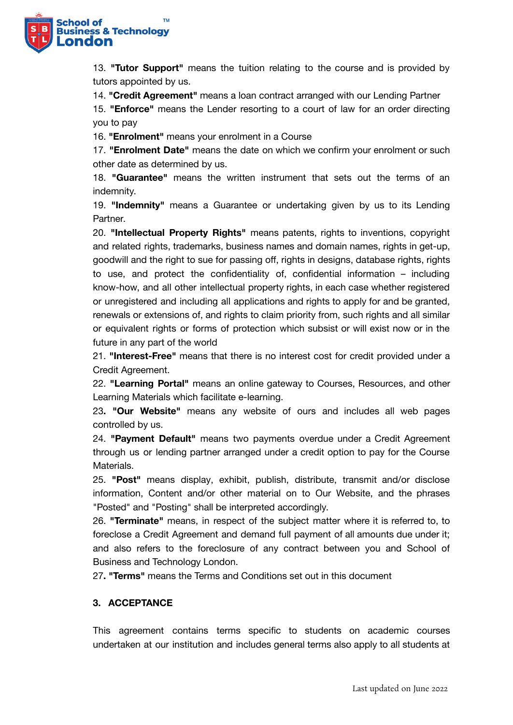

13. **"Tutor Support"** means the tuition relating to the course and is provided by tutors appointed by us.

14. **"Credit Agreement"** means a loan contract arranged with our Lending Partner

15. **"Enforce"** means the Lender resorting to a court of law for an order directing you to pay

16. **"Enrolment"** means your enrolment in a Course

17. **"Enrolment Date"** means the date on which we confirm your enrolment or such other date as determined by us.

18. **"Guarantee"** means the written instrument that sets out the terms of an indemnity.

19. **"Indemnity"** means a Guarantee or undertaking given by us to its Lending Partner.

20. **"Intellectual Property Rights"** means patents, rights to inventions, copyright and related rights, trademarks, business names and domain names, rights in get-up, goodwill and the right to sue for passing off, rights in designs, database rights, rights to use, and protect the confidentiality of, confidential information – including know-how, and all other intellectual property rights, in each case whether registered or unregistered and including all applications and rights to apply for and be granted, renewals or extensions of, and rights to claim priority from, such rights and all similar or equivalent rights or forms of protection which subsist or will exist now or in the future in any part of the world

21. **"Interest-Free"** means that there is no interest cost for credit provided under a Credit Agreement.

22. **"Learning Portal"** means an online gateway to Courses, Resources, and other Learning Materials which facilitate e-learning.

23**. "Our Website"** means any website of ours and includes all web pages controlled by us.

24. **"Payment Default"** means two payments overdue under a Credit Agreement through us or lending partner arranged under a credit option to pay for the Course Materials.

25. **"Post"** means display, exhibit, publish, distribute, transmit and/or disclose information, Content and/or other material on to Our Website, and the phrases "Posted" and "Posting" shall be interpreted accordingly.

26. **"Terminate"** means, in respect of the subject matter where it is referred to, to foreclose a Credit Agreement and demand full payment of all amounts due under it; and also refers to the foreclosure of any contract between you and School of Business and Technology London.

27**. "Terms"** means the Terms and Conditions set out in this document

# **3. ACCEPTANCE**

This agreement contains terms specific to students on academic courses undertaken at our institution and includes general terms also apply to all students at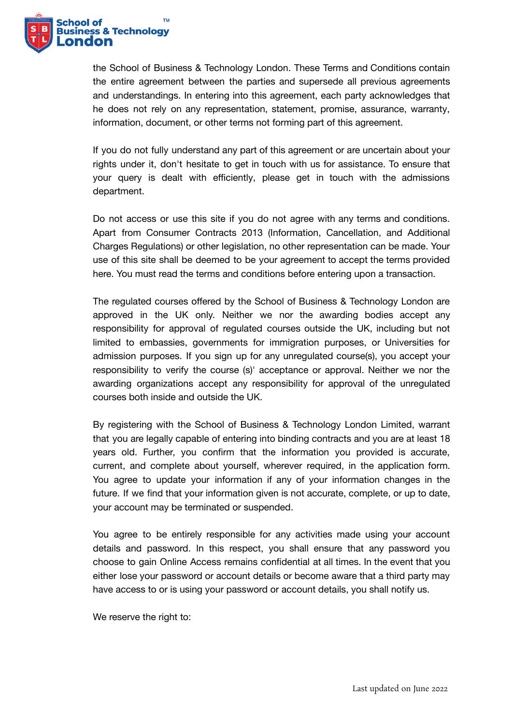

the School of Business & Technology London. These Terms and Conditions contain the entire agreement between the parties and supersede all previous agreements and understandings. In entering into this agreement, each party acknowledges that he does not rely on any representation, statement, promise, assurance, warranty, information, document, or other terms not forming part of this agreement.

If you do not fully understand any part of this agreement or are uncertain about your rights under it, don't hesitate to get in touch with us for assistance. To ensure that your query is dealt with efficiently, please get in touch with the admissions department.

Do not access or use this site if you do not agree with any terms and conditions. Apart from Consumer Contracts 2013 (Information, Cancellation, and Additional Charges Regulations) or other legislation, no other representation can be made. Your use of this site shall be deemed to be your agreement to accept the terms provided here. You must read the terms and conditions before entering upon a transaction.

The regulated courses offered by the School of Business & Technology London are approved in the UK only. Neither we nor the awarding bodies accept any responsibility for approval of regulated courses outside the UK, including but not limited to embassies, governments for immigration purposes, or Universities for admission purposes. If you sign up for any unregulated course(s), you accept your responsibility to verify the course (s)' acceptance or approval. Neither we nor the awarding organizations accept any responsibility for approval of the unregulated courses both inside and outside the UK.

By registering with the School of Business & Technology London Limited, warrant that you are legally capable of entering into binding contracts and you are at least 18 years old. Further, you confirm that the information you provided is accurate, current, and complete about yourself, wherever required, in the application form. You agree to update your information if any of your information changes in the future. If we find that your information given is not accurate, complete, or up to date, your account may be terminated or suspended.

You agree to be entirely responsible for any activities made using your account details and password. In this respect, you shall ensure that any password you choose to gain Online Access remains confidential at all times. In the event that you either lose your password or account details or become aware that a third party may have access to or is using your password or account details, you shall notify us.

We reserve the right to: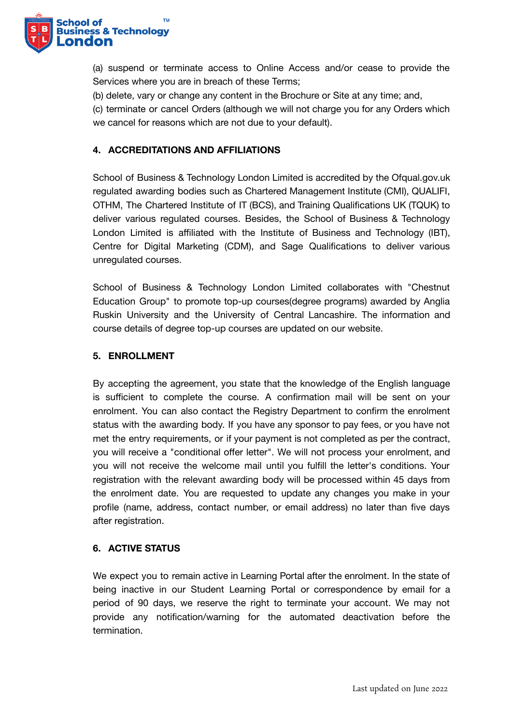

(a) suspend or terminate access to Online Access and/or cease to provide the Services where you are in breach of these Terms;

(b) delete, vary or change any content in the Brochure or Site at any time; and,

(c) terminate or cancel Orders (although we will not charge you for any Orders which we cancel for reasons which are not due to your default).

# **4. ACCREDITATIONS AND AFFILIATIONS**

School of Business & Technology London Limited is accredited by the Ofqual.gov.uk regulated awarding bodies such as Chartered Management Institute (CMI), QUALIFI, OTHM, The Chartered Institute of IT (BCS), and Training Qualifications UK (TQUK) to deliver various regulated courses. Besides, the School of Business & Technology London Limited is affiliated with the Institute of Business and Technology (IBT), Centre for Digital Marketing (CDM), and Sage Qualifications to deliver various unregulated courses.

School of Business & Technology London Limited collaborates with "Chestnut Education Group" to promote top-up courses(degree programs) awarded by Anglia Ruskin University and the University of Central Lancashire. The information and course details of degree top-up courses are updated on our website.

## **5. ENROLLMENT**

By accepting the agreement, you state that the knowledge of the English language is sufficient to complete the course. A confirmation mail will be sent on your enrolment. You can also contact the Registry Department to confirm the enrolment status with the awarding body. If you have any sponsor to pay fees, or you have not met the entry requirements, or if your payment is not completed as per the contract, you will receive a "conditional offer letter". We will not process your enrolment, and you will not receive the welcome mail until you fulfill the letter's conditions. Your registration with the relevant awarding body will be processed within 45 days from the enrolment date. You are requested to update any changes you make in your profile (name, address, contact number, or email address) no later than five days after registration.

## **6. ACTIVE STATUS**

We expect you to remain active in Learning Portal after the enrolment. In the state of being inactive in our Student Learning Portal or correspondence by email for a period of 90 days, we reserve the right to terminate your account. We may not provide any notification/warning for the automated deactivation before the termination.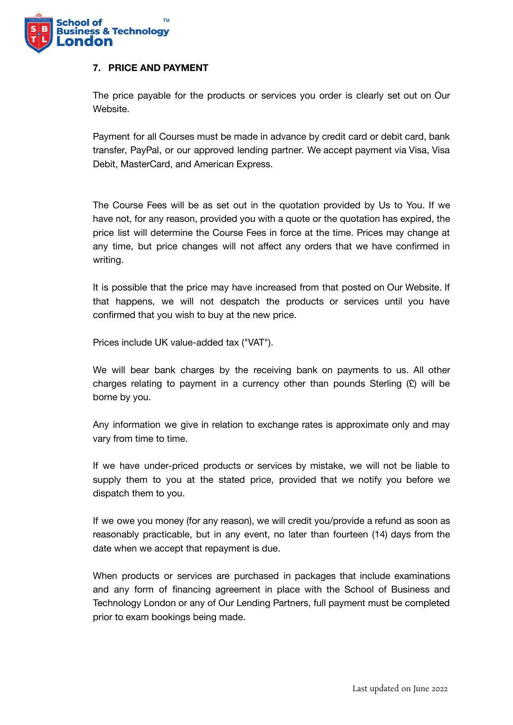

## **7. PRICE AND PAYMENT**

The price payable for the products or services you order is clearly set out on Our Website.

Payment for all Courses must be made in advance by credit card or debit card, bank transfer, PayPal, or our approved lending partner. We accept payment via Visa, Visa Debit, MasterCard, and American Express.

The Course Fees will be as set out in the quotation provided by Us to You. If we have not, for any reason, provided you with a quote or the quotation has expired, the price list will determine the Course Fees in force at the time. Prices may change at any time, but price changes will not affect any orders that we have confirmed in writing.

It is possible that the price may have increased from that posted on Our Website. If that happens, we will not despatch the products or services until you have confirmed that you wish to buy at the new price.

Prices include UK value-added tax ("VAT").

We will bear bank charges by the receiving bank on payments to us. All other charges relating to payment in a currency other than pounds Sterling  $(E)$  will be borne by you.

Any information we give in relation to exchange rates is approximate only and may vary from time to time.

If we have under-priced products or services by mistake, we will not be liable to supply them to you at the stated price, provided that we notify you before we dispatch them to you.

If we owe you money (for any reason), we will credit you/provide a refund as soon as reasonably practicable, but in any event, no later than fourteen (14) days from the date when we accept that repayment is due.

When products or services are purchased in packages that include examinations and any form of financing agreement in place with the School of Business and Technology London or any of Our Lending Partners, full payment must be completed prior to exam bookings being made.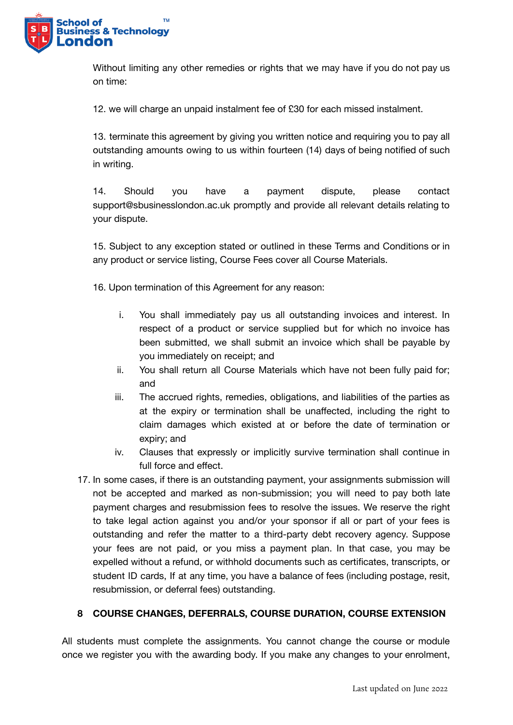

Without limiting any other remedies or rights that we may have if you do not pay us on time:

12. we will charge an unpaid instalment fee of £30 for each missed instalment.

13. terminate this agreement by giving you written notice and requiring you to pay all outstanding amounts owing to us within fourteen (14) days of being notified of such in writing.

14. Should you have a payment dispute, please contact support@sbusinesslondon.ac.uk promptly and provide all relevant details relating to your dispute.

15. Subject to any exception stated or outlined in these Terms and Conditions or in any product or service listing, Course Fees cover all Course Materials.

16. Upon termination of this Agreement for any reason:

- i. You shall immediately pay us all outstanding invoices and interest. In respect of a product or service supplied but for which no invoice has been submitted, we shall submit an invoice which shall be payable by you immediately on receipt; and
- ii. You shall return all Course Materials which have not been fully paid for; and
- iii. The accrued rights, remedies, obligations, and liabilities of the parties as at the expiry or termination shall be unaffected, including the right to claim damages which existed at or before the date of termination or expiry; and
- iv. Clauses that expressly or implicitly survive termination shall continue in full force and effect.
- 17. In some cases, if there is an outstanding payment, your assignments submission will not be accepted and marked as non-submission; you will need to pay both late payment charges and resubmission fees to resolve the issues. We reserve the right to take legal action against you and/or your sponsor if all or part of your fees is outstanding and refer the matter to a third-party debt recovery agency. Suppose your fees are not paid, or you miss a payment plan. In that case, you may be expelled without a refund, or withhold documents such as certificates, transcripts, or student ID cards, If at any time, you have a balance of fees (including postage, resit, resubmission, or deferral fees) outstanding.

# **8 COURSE CHANGES, DEFERRALS, COURSE DURATION, COURSE EXTENSION**

All students must complete the assignments. You cannot change the course or module once we register you with the awarding body. If you make any changes to your enrolment,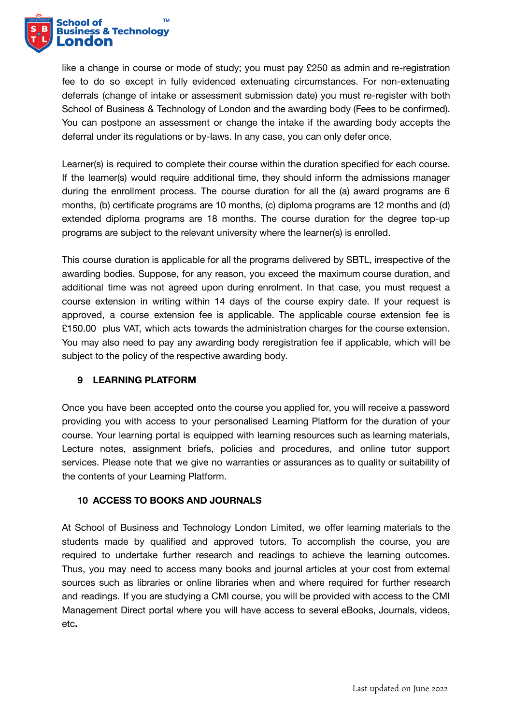

like a change in course or mode of study; you must pay £250 as admin and re-registration fee to do so except in fully evidenced extenuating circumstances. For non-extenuating deferrals (change of intake or assessment submission date) you must re-register with both School of Business & Technology of London and the awarding body (Fees to be confirmed). You can postpone an assessment or change the intake if the awarding body accepts the deferral under its regulations or by-laws. In any case, you can only defer once.

Learner(s) is required to complete their course within the duration specified for each course. If the learner(s) would require additional time, they should inform the admissions manager during the enrollment process. The course duration for all the (a) award programs are 6 months, (b) certificate programs are 10 months, (c) diploma programs are 12 months and (d) extended diploma programs are 18 months. The course duration for the degree top-up programs are subject to the relevant university where the learner(s) is enrolled.

This course duration is applicable for all the programs delivered by SBTL, irrespective of the awarding bodies. Suppose, for any reason, you exceed the maximum course duration, and additional time was not agreed upon during enrolment. In that case, you must request a course extension in writing within 14 days of the course expiry date. If your request is approved, a course extension fee is applicable. The applicable course extension fee is £150.00 plus VAT, which acts towards the administration charges for the course extension. You may also need to pay any awarding body reregistration fee if applicable, which will be subject to the policy of the respective awarding body.

# **9 LEARNING PLATFORM**

Once you have been accepted onto the course you applied for, you will receive a password providing you with access to your personalised Learning Platform for the duration of your course. Your learning portal is equipped with learning resources such as learning materials, Lecture notes, assignment briefs, policies and procedures, and online tutor support services. Please note that we give no warranties or assurances as to quality or suitability of the contents of your Learning Platform.

# **10 ACCESS TO BOOKS AND JOURNALS**

At School of Business and Technology London Limited, we offer learning materials to the students made by qualified and approved tutors. To accomplish the course, you are required to undertake further research and readings to achieve the learning outcomes. Thus, you may need to access many books and journal articles at your cost from external sources such as libraries or online libraries when and where required for further research and readings. If you are studying a CMI course, you will be provided with access to the CMI Management Direct portal where you will have access to several eBooks, Journals, videos, etc**.**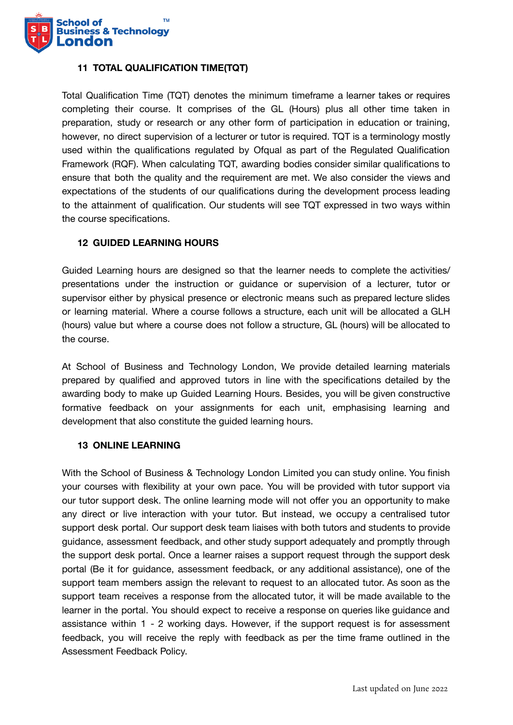

# **11 TOTAL QUALIFICATION TIME(TQT)**

Total Qualification Time (TQT) denotes the minimum timeframe a learner takes or requires completing their course. It comprises of the GL (Hours) plus all other time taken in preparation, study or research or any other form of participation in education or training, however, no direct supervision of a lecturer or tutor is required. TQT is a terminology mostly used within the qualifications regulated by Ofqual as part of the Regulated Qualification Framework (RQF). When calculating TQT, awarding bodies consider similar qualifications to ensure that both the quality and the requirement are met. We also consider the views and expectations of the students of our qualifications during the development process leading to the attainment of qualification. Our students will see TQT expressed in two ways within the course specifications.

## **12 GUIDED LEARNING HOURS**

Guided Learning hours are designed so that the learner needs to complete the activities/ presentations under the instruction or guidance or supervision of a lecturer, tutor or supervisor either by physical presence or electronic means such as prepared lecture slides or learning material. Where a course follows a structure, each unit will be allocated a GLH (hours) value but where a course does not follow a structure, GL (hours) will be allocated to the course.

At School of Business and Technology London, We provide detailed learning materials prepared by qualified and approved tutors in line with the specifications detailed by the awarding body to make up Guided Learning Hours. Besides, you will be given constructive formative feedback on your assignments for each unit, emphasising learning and development that also constitute the guided learning hours.

## **13 ONLINE LEARNING**

With the School of Business & Technology London Limited you can study online. You finish your courses with flexibility at your own pace. You will be provided with tutor support via our tutor support desk. The online learning mode will not offer you an opportunity to make any direct or live interaction with your tutor. But instead, we occupy a centralised tutor support desk portal. Our support desk team liaises with both tutors and students to provide guidance, assessment feedback, and other study support adequately and promptly through the support desk portal. Once a learner raises a support request through the support desk portal (Be it for guidance, assessment feedback, or any additional assistance), one of the support team members assign the relevant to request to an allocated tutor. As soon as the support team receives a response from the allocated tutor, it will be made available to the learner in the portal. You should expect to receive a response on queries like guidance and assistance within 1 - 2 working days. However, if the support request is for assessment feedback, you will receive the reply with feedback as per the time frame outlined in the Assessment Feedback Policy.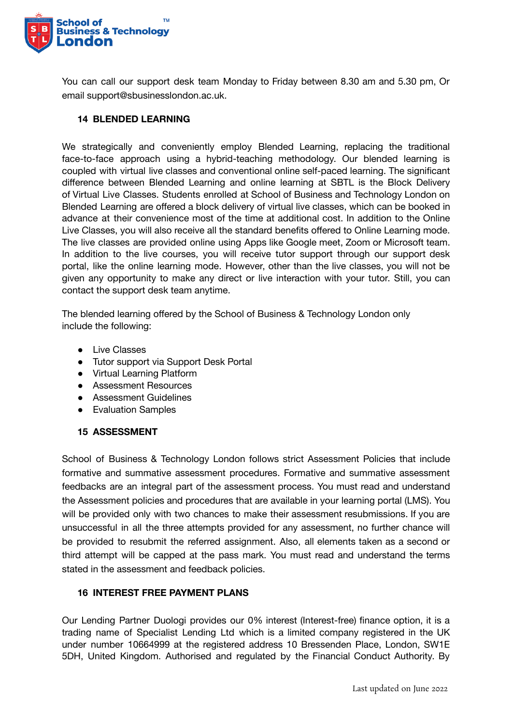

You can call our support desk team Monday to Friday between 8.30 am and 5.30 pm, Or email support@sbusinesslondon.ac.uk.

## **14 BLENDED LEARNING**

We strategically and conveniently employ Blended Learning, replacing the traditional face-to-face approach using a hybrid-teaching methodology. Our blended learning is coupled with virtual live classes and conventional online self-paced learning. The significant difference between Blended Learning and online learning at SBTL is the Block Delivery of Virtual Live Classes. Students enrolled at School of Business and Technology London on Blended Learning are offered a block delivery of virtual live classes, which can be booked in advance at their convenience most of the time at additional cost. In addition to the Online Live Classes, you will also receive all the standard benefits offered to Online Learning mode. The live classes are provided online using Apps like Google meet, Zoom or Microsoft team. In addition to the live courses, you will receive tutor support through our support desk portal, like the online learning mode. However, other than the live classes, you will not be given any opportunity to make any direct or live interaction with your tutor. Still, you can contact the support desk team anytime.

The blended learning offered by the School of Business & Technology London only include the following:

- Live Classes
- Tutor support via Support Desk Portal
- Virtual Learning Platform
- Assessment Resources
- Assessment Guidelines
- Evaluation Samples

## **15 ASSESSMENT**

School of Business & Technology London follows strict Assessment Policies that include formative and summative assessment procedures. Formative and summative assessment feedbacks are an integral part of the assessment process. You must read and understand the Assessment policies and procedures that are available in your learning portal (LMS). You will be provided only with two chances to make their assessment resubmissions. If you are unsuccessful in all the three attempts provided for any assessment, no further chance will be provided to resubmit the referred assignment. Also, all elements taken as a second or third attempt will be capped at the pass mark. You must read and understand the terms stated in the assessment and feedback policies.

## **16 INTEREST FREE PAYMENT PLANS**

Our Lending Partner Duologi provides our 0% interest (Interest-free) finance option, it is a trading name of Specialist Lending Ltd which is a limited company registered in the UK under number 10664999 at the registered address 10 Bressenden Place, London, SW1E 5DH, United Kingdom. Authorised and regulated by the Financial Conduct Authority. By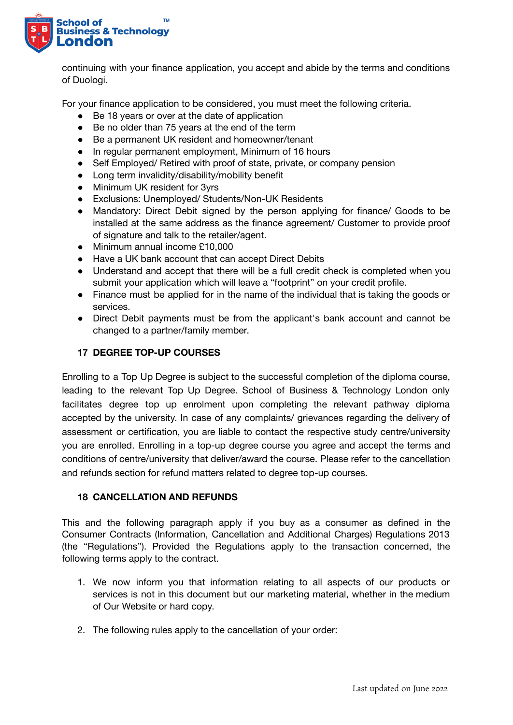

continuing with your finance application, you accept and abide by the terms and conditions of Duologi.

For your finance application to be considered, you must meet the following criteria.

- Be 18 years or over at the date of application
- Be no older than 75 years at the end of the term
- Be a permanent UK resident and homeowner/tenant
- In regular permanent employment, Minimum of 16 hours
- Self Employed/ Retired with proof of state, private, or company pension
- Long term invalidity/disability/mobility benefit
- Minimum UK resident for 3yrs
- Exclusions: Unemployed/ Students/Non-UK Residents
- Mandatory: Direct Debit signed by the person applying for finance/ Goods to be installed at the same address as the finance agreement/ Customer to provide proof of signature and talk to the retailer/agent.
- Minimum annual income £10,000
- Have a UK bank account that can accept Direct Debits
- Understand and accept that there will be a full credit check is completed when you submit your application which will leave a "footprint" on your credit profile.
- Finance must be applied for in the name of the individual that is taking the goods or services.
- Direct Debit payments must be from the applicant's bank account and cannot be changed to a partner/family member.

## **17 DEGREE TOP-UP COURSES**

Enrolling to a Top Up Degree is subject to the successful completion of the diploma course, leading to the relevant Top Up Degree. School of Business & Technology London only facilitates degree top up enrolment upon completing the relevant pathway diploma accepted by the university. In case of any complaints/ grievances regarding the delivery of assessment or certification, you are liable to contact the respective study centre/university you are enrolled. Enrolling in a top-up degree course you agree and accept the terms and conditions of centre/university that deliver/award the course. Please refer to the cancellation and refunds section for refund matters related to degree top-up courses.

#### **18 CANCELLATION AND REFUNDS**

This and the following paragraph apply if you buy as a consumer as defined in the Consumer Contracts (Information, Cancellation and Additional Charges) Regulations 2013 (the "Regulations"). Provided the Regulations apply to the transaction concerned, the following terms apply to the contract.

- 1. We now inform you that information relating to all aspects of our products or services is not in this document but our marketing material, whether in the medium of Our Website or hard copy.
- 2. The following rules apply to the cancellation of your order: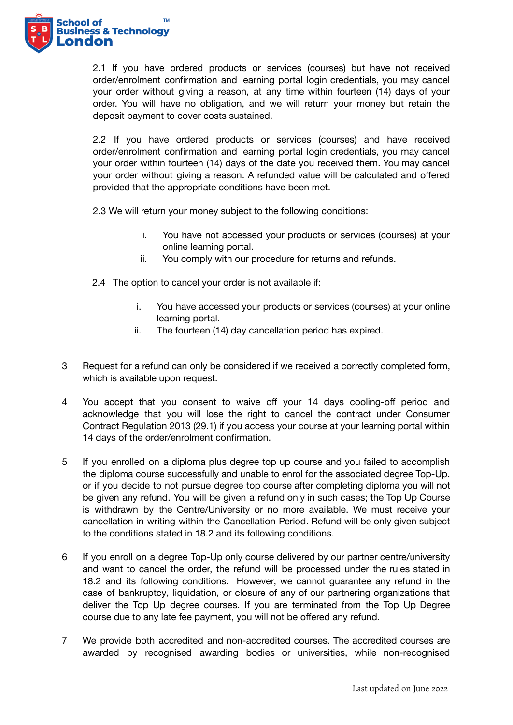

2.1 If you have ordered products or services (courses) but have not received order/enrolment confirmation and learning portal login credentials, you may cancel your order without giving a reason, at any time within fourteen (14) days of your order. You will have no obligation, and we will return your money but retain the deposit payment to cover costs sustained.

2.2 If you have ordered products or services (courses) and have received order/enrolment confirmation and learning portal login credentials, you may cancel your order within fourteen (14) days of the date you received them. You may cancel your order without giving a reason. A refunded value will be calculated and offered provided that the appropriate conditions have been met.

2.3 We will return your money subject to the following conditions:

- i. You have not accessed your products or services (courses) at your online learning portal.
- ii. You comply with our procedure for returns and refunds.
- 2.4 The option to cancel your order is not available if:
	- i. You have accessed your products or services (courses) at your online learning portal.
	- ii. The fourteen (14) day cancellation period has expired.
- 3 Request for a refund can only be considered if we received a correctly completed form, which is available upon request.
- 4 You accept that you consent to waive off your 14 days cooling-off period and acknowledge that you will lose the right to cancel the contract under Consumer Contract Regulation 2013 (29.1) if you access your course at your learning portal within 14 days of the order/enrolment confirmation.
- 5 If you enrolled on a diploma plus degree top up course and you failed to accomplish the diploma course successfully and unable to enrol for the associated degree Top-Up, or if you decide to not pursue degree top course after completing diploma you will not be given any refund. You will be given a refund only in such cases; the Top Up Course is withdrawn by the Centre/University or no more available. We must receive your cancellation in writing within the Cancellation Period. Refund will be only given subject to the conditions stated in 18.2 and its following conditions.
- 6 If you enroll on a degree Top-Up only course delivered by our partner centre/university and want to cancel the order, the refund will be processed under the rules stated in 18.2 and its following conditions. However, we cannot guarantee any refund in the case of bankruptcy, liquidation, or closure of any of our partnering organizations that deliver the Top Up degree courses. If you are terminated from the Top Up Degree course due to any late fee payment, you will not be offered any refund.
- 7 We provide both accredited and non-accredited courses. The accredited courses are awarded by recognised awarding bodies or universities, while non-recognised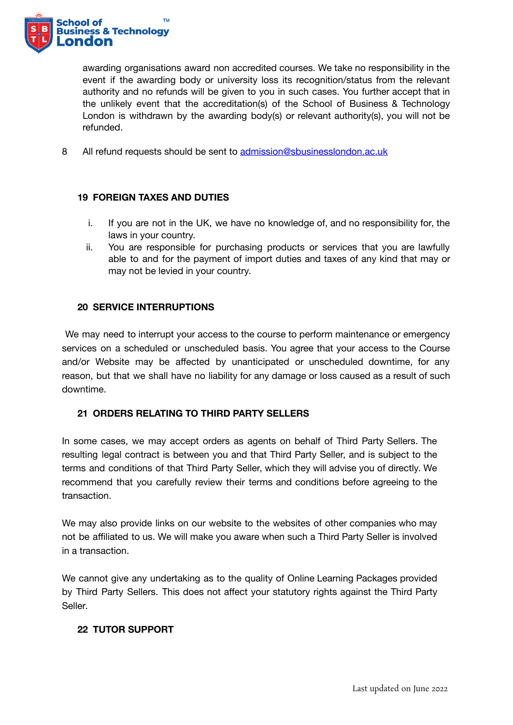

awarding organisations award non accredited courses. We take no responsibility in the event if the awarding body or university loss its recognition/status from the relevant authority and no refunds will be given to you in such cases. You further accept that in the unlikely event that the accreditation(s) of the School of Business & Technology London is withdrawn by the awarding body(s) or relevant authority(s), you will not be refunded.

8 All refund requests should be sent to [admission@sbusinesslondon.ac.uk](mailto:admission@sbusinesslondon.ac.uk)

## **19 FOREIGN TAXES AND DUTIES**

- i. If you are not in the UK, we have no knowledge of, and no responsibility for, the laws in your country.
- ii. You are responsible for purchasing products or services that you are lawfully able to and for the payment of import duties and taxes of any kind that may or may not be levied in your country.

## **20 SERVICE INTERRUPTIONS**

We may need to interrupt your access to the course to perform maintenance or emergency services on a scheduled or unscheduled basis. You agree that your access to the Course and/or Website may be affected by unanticipated or unscheduled downtime, for any reason, but that we shall have no liability for any damage or loss caused as a result of such downtime.

# **21 ORDERS RELATING TO THIRD PARTY SELLERS**

In some cases, we may accept orders as agents on behalf of Third Party Sellers. The resulting legal contract is between you and that Third Party Seller, and is subject to the terms and conditions of that Third Party Seller, which they will advise you of directly. We recommend that you carefully review their terms and conditions before agreeing to the transaction.

We may also provide links on our website to the websites of other companies who may not be affiliated to us. We will make you aware when such a Third Party Seller is involved in a transaction.

We cannot give any undertaking as to the quality of Online Learning Packages provided by Third Party Sellers. This does not affect your statutory rights against the Third Party Seller.

# **22 TUTOR SUPPORT**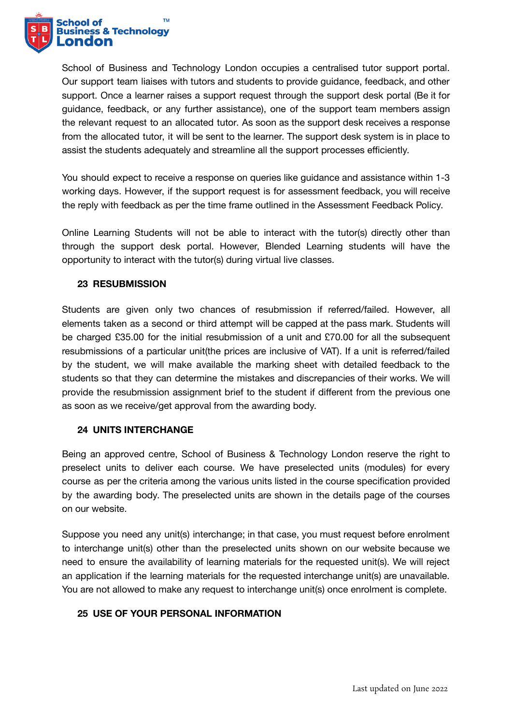

School of Business and Technology London occupies a centralised tutor support portal. Our support team liaises with tutors and students to provide guidance, feedback, and other support. Once a learner raises a support request through the support desk portal (Be it for guidance, feedback, or any further assistance), one of the support team members assign the relevant request to an allocated tutor. As soon as the support desk receives a response from the allocated tutor, it will be sent to the learner. The support desk system is in place to assist the students adequately and streamline all the support processes efficiently.

You should expect to receive a response on queries like guidance and assistance within 1-3 working days. However, if the support request is for assessment feedback, you will receive the reply with feedback as per the time frame outlined in the Assessment Feedback Policy.

Online Learning Students will not be able to interact with the tutor(s) directly other than through the support desk portal. However, Blended Learning students will have the opportunity to interact with the tutor(s) during virtual live classes.

## **23 RESUBMISSION**

Students are given only two chances of resubmission if referred/failed. However, all elements taken as a second or third attempt will be capped at the pass mark. Students will be charged £35.00 for the initial resubmission of a unit and £70.00 for all the subsequent resubmissions of a particular unit(the prices are inclusive of VAT). If a unit is referred/failed by the student, we will make available the marking sheet with detailed feedback to the students so that they can determine the mistakes and discrepancies of their works. We will provide the resubmission assignment brief to the student if different from the previous one as soon as we receive/get approval from the awarding body.

## **24 UNITS INTERCHANGE**

Being an approved centre, School of Business & Technology London reserve the right to preselect units to deliver each course. We have preselected units (modules) for every course as per the criteria among the various units listed in the course specification provided by the awarding body. The preselected units are shown in the details page of the courses on our website.

Suppose you need any unit(s) interchange; in that case, you must request before enrolment to interchange unit(s) other than the preselected units shown on our website because we need to ensure the availability of learning materials for the requested unit(s). We will reject an application if the learning materials for the requested interchange unit(s) are unavailable. You are not allowed to make any request to interchange unit(s) once enrolment is complete.

# **25 USE OF YOUR PERSONAL INFORMATION**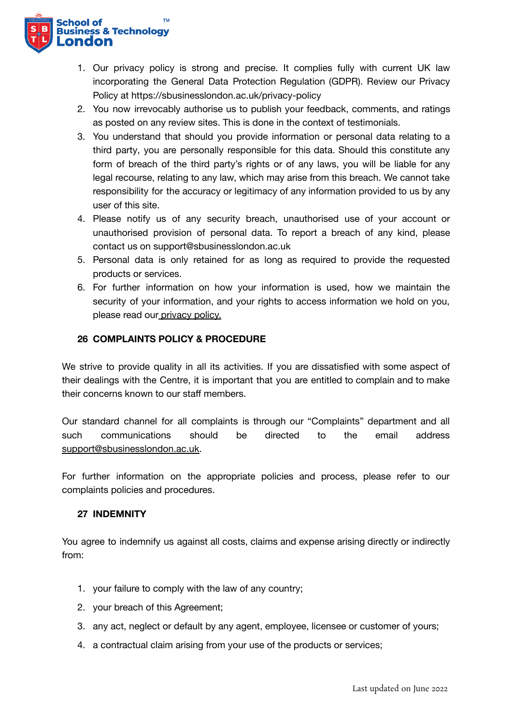

- 1. Our privacy policy is strong and precise. It complies fully with current UK law incorporating the General Data Protection Regulation (GDPR). Review our Privacy Policy at https://sbusinesslondon.ac.uk/privacy-policy
- 2. You now irrevocably authorise us to publish your feedback, comments, and ratings as posted on any review sites. This is done in the context of testimonials.
- 3. You understand that should you provide information or personal data relating to a third party, you are personally responsible for this data. Should this constitute any form of breach of the third party's rights or of any laws, you will be liable for any legal recourse, relating to any law, which may arise from this breach. We cannot take responsibility for the accuracy or legitimacy of any information provided to us by any user of this site.
- 4. Please notify us of any security breach, unauthorised use of your account or unauthorised provision of personal data. To report a breach of any kind, please contact us on support@sbusinesslondon.ac.uk
- 5. Personal data is only retained for as long as required to provide the requested products or services.
- 6. For further information on how your information is used, how we maintain the security of your information, and your rights to access information we hold on you, please read our [privacy](https://sbusinesslondon.ac.uk/privacy-policy) policy.

## **26 COMPLAINTS POLICY & PROCEDURE**

We strive to provide quality in all its activities. If you are dissatisfied with some aspect of their dealings with the Centre, it is important that you are entitled to complain and to make their concerns known to our staff members.

Our standard channel for all complaints is through our "Complaints" department and all such communications should be directed to the email address [support@sbusinesslondon.ac.uk.](mailto:support@sbusinesslondon.ac.uk)

For further information on the appropriate policies and process, please refer to our complaints policies and procedures.

## **27 INDEMNITY**

You agree to indemnify us against all costs, claims and expense arising directly or indirectly from:

- 1. your failure to comply with the law of any country;
- 2. your breach of this Agreement;
- 3. any act, neglect or default by any agent, employee, licensee or customer of yours;
- 4. a contractual claim arising from your use of the products or services;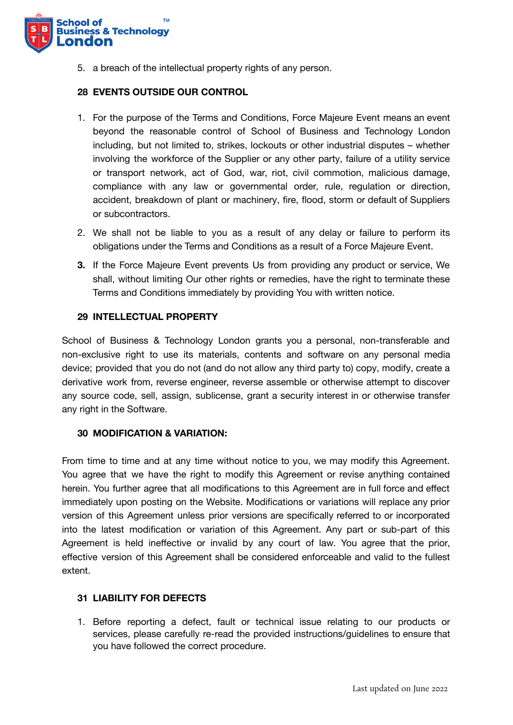

5. a breach of the intellectual property rights of any person.

#### **28 EVENTS OUTSIDE OUR CONTROL**

- 1. For the purpose of the Terms and Conditions, Force Majeure Event means an event beyond the reasonable control of School of Business and Technology London including, but not limited to, strikes, lockouts or other industrial disputes – whether involving the workforce of the Supplier or any other party, failure of a utility service or transport network, act of God, war, riot, civil commotion, malicious damage, compliance with any law or governmental order, rule, regulation or direction, accident, breakdown of plant or machinery, fire, flood, storm or default of Suppliers or subcontractors.
- 2. We shall not be liable to you as a result of any delay or failure to perform its obligations under the Terms and Conditions as a result of a Force Majeure Event.
- **3.** If the Force Majeure Event prevents Us from providing any product or service, We shall, without limiting Our other rights or remedies, have the right to terminate these Terms and Conditions immediately by providing You with written notice.

#### **29 INTELLECTUAL PROPERTY**

School of Business & Technology London grants you a personal, non-transferable and non-exclusive right to use its materials, contents and software on any personal media device; provided that you do not (and do not allow any third party to) copy, modify, create a derivative work from, reverse engineer, reverse assemble or otherwise attempt to discover any source code, sell, assign, sublicense, grant a security interest in or otherwise transfer any right in the Software.

#### **30 MODIFICATION & VARIATION:**

From time to time and at any time without notice to you, we may modify this Agreement. You agree that we have the right to modify this Agreement or revise anything contained herein. You further agree that all modifications to this Agreement are in full force and effect immediately upon posting on the Website. Modifications or variations will replace any prior version of this Agreement unless prior versions are specifically referred to or incorporated into the latest modification or variation of this Agreement. Any part or sub-part of this Agreement is held ineffective or invalid by any court of law. You agree that the prior, effective version of this Agreement shall be considered enforceable and valid to the fullest extent.

#### **31 LIABILITY FOR DEFECTS**

1. Before reporting a defect, fault or technical issue relating to our products or services, please carefully re-read the provided instructions/guidelines to ensure that you have followed the correct procedure.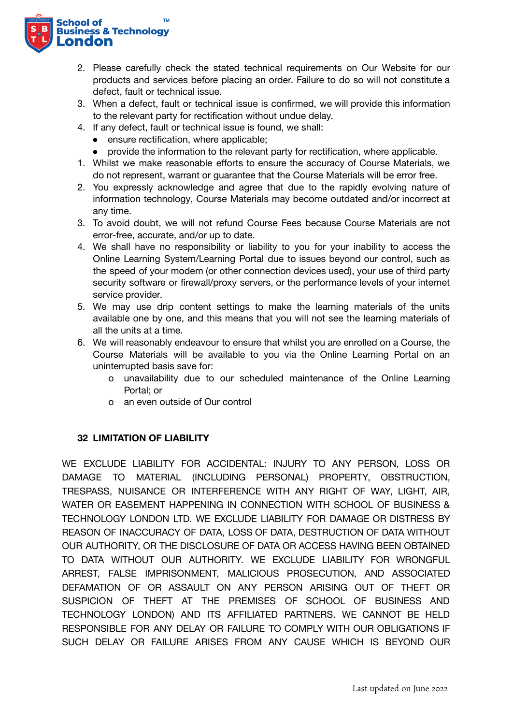

- 2. Please carefully check the stated technical requirements on Our Website for our products and services before placing an order. Failure to do so will not constitute a defect, fault or technical issue.
- 3. When a defect, fault or technical issue is confirmed, we will provide this information to the relevant party for rectification without undue delay.
- 4. If any defect, fault or technical issue is found, we shall:
	- ensure rectification, where applicable;
	- provide the information to the relevant party for rectification, where applicable.
- 1. Whilst we make reasonable efforts to ensure the accuracy of Course Materials, we do not represent, warrant or guarantee that the Course Materials will be error free.
- 2. You expressly acknowledge and agree that due to the rapidly evolving nature of information technology, Course Materials may become outdated and/or incorrect at any time.
- 3. To avoid doubt, we will not refund Course Fees because Course Materials are not error-free, accurate, and/or up to date.
- 4. We shall have no responsibility or liability to you for your inability to access the Online Learning System/Learning Portal due to issues beyond our control, such as the speed of your modem (or other connection devices used), your use of third party security software or firewall/proxy servers, or the performance levels of your internet service provider.
- 5. We may use drip content settings to make the learning materials of the units available one by one, and this means that you will not see the learning materials of all the units at a time.
- 6. We will reasonably endeavour to ensure that whilst you are enrolled on a Course, the Course Materials will be available to you via the Online Learning Portal on an uninterrupted basis save for:
	- o unavailability due to our scheduled maintenance of the Online Learning Portal; or
	- o an even outside of Our control

## **32 LIMITATION OF LIABILITY**

WE EXCLUDE LIABILITY FOR ACCIDENTAL: INJURY TO ANY PERSON, LOSS OR DAMAGE TO MATERIAL (INCLUDING PERSONAL) PROPERTY, OBSTRUCTION, TRESPASS, NUISANCE OR INTERFERENCE WITH ANY RIGHT OF WAY, LIGHT, AIR, WATER OR EASEMENT HAPPENING IN CONNECTION WITH SCHOOL OF BUSINESS & TECHNOLOGY LONDON LTD. WE EXCLUDE LIABILITY FOR DAMAGE OR DISTRESS BY REASON OF INACCURACY OF DATA, LOSS OF DATA, DESTRUCTION OF DATA WITHOUT OUR AUTHORITY, OR THE DISCLOSURE OF DATA OR ACCESS HAVING BEEN OBTAINED TO DATA WITHOUT OUR AUTHORITY. WE EXCLUDE LIABILITY FOR WRONGFUL ARREST, FALSE IMPRISONMENT, MALICIOUS PROSECUTION, AND ASSOCIATED DEFAMATION OF OR ASSAULT ON ANY PERSON ARISING OUT OF THEFT OR SUSPICION OF THEFT AT THE PREMISES OF SCHOOL OF BUSINESS AND TECHNOLOGY LONDON) AND ITS AFFILIATED PARTNERS. WE CANNOT BE HELD RESPONSIBLE FOR ANY DELAY OR FAILURE TO COMPLY WITH OUR OBLIGATIONS IF SUCH DELAY OR FAILURE ARISES FROM ANY CAUSE WHICH IS BEYOND OUR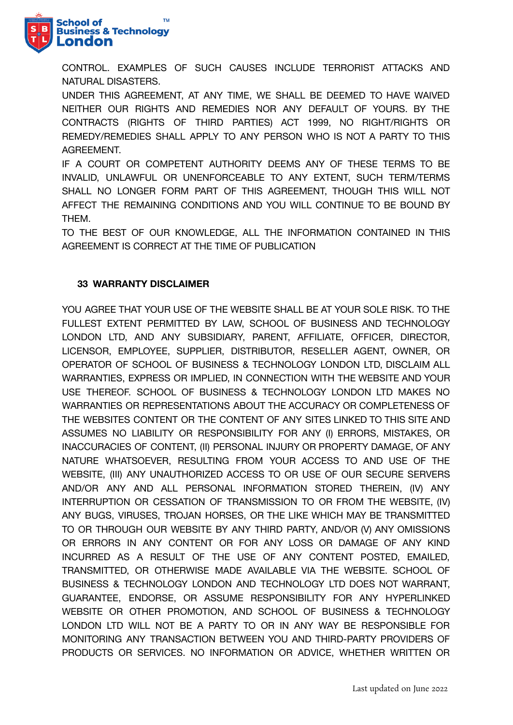

CONTROL. EXAMPLES OF SUCH CAUSES INCLUDE TERRORIST ATTACKS AND NATURAL DISASTERS.

UNDER THIS AGREEMENT, AT ANY TIME, WE SHALL BE DEEMED TO HAVE WAIVED NEITHER OUR RIGHTS AND REMEDIES NOR ANY DEFAULT OF YOURS. BY THE CONTRACTS (RIGHTS OF THIRD PARTIES) ACT 1999, NO RIGHT/RIGHTS OR REMEDY/REMEDIES SHALL APPLY TO ANY PERSON WHO IS NOT A PARTY TO THIS AGREEMENT.

IF A COURT OR COMPETENT AUTHORITY DEEMS ANY OF THESE TERMS TO BE INVALID, UNLAWFUL OR UNENFORCEABLE TO ANY EXTENT, SUCH TERM/TERMS SHALL NO LONGER FORM PART OF THIS AGREEMENT, THOUGH THIS WILL NOT AFFECT THE REMAINING CONDITIONS AND YOU WILL CONTINUE TO BE BOUND BY THEM.

TO THE BEST OF OUR KNOWLEDGE, ALL THE INFORMATION CONTAINED IN THIS AGREEMENT IS CORRECT AT THE TIME OF PUBLICATION

# **33 WARRANTY DISCLAIMER**

YOU AGREE THAT YOUR USE OF THE WEBSITE SHALL BE AT YOUR SOLE RISK. TO THE FULLEST EXTENT PERMITTED BY LAW, SCHOOL OF BUSINESS AND TECHNOLOGY LONDON LTD, AND ANY SUBSIDIARY, PARENT, AFFILIATE, OFFICER, DIRECTOR, LICENSOR, EMPLOYEE, SUPPLIER, DISTRIBUTOR, RESELLER AGENT, OWNER, OR OPERATOR OF SCHOOL OF BUSINESS & TECHNOLOGY LONDON LTD, DISCLAIM ALL WARRANTIES, EXPRESS OR IMPLIED, IN CONNECTION WITH THE WEBSITE AND YOUR USE THEREOF. SCHOOL OF BUSINESS & TECHNOLOGY LONDON LTD MAKES NO WARRANTIES OR REPRESENTATIONS ABOUT THE ACCURACY OR COMPLETENESS OF THE WEBSITES CONTENT OR THE CONTENT OF ANY SITES LINKED TO THIS SITE AND ASSUMES NO LIABILITY OR RESPONSIBILITY FOR ANY (I) ERRORS, MISTAKES, OR INACCURACIES OF CONTENT, (II) PERSONAL INJURY OR PROPERTY DAMAGE, OF ANY NATURE WHATSOEVER, RESULTING FROM YOUR ACCESS TO AND USE OF THE WEBSITE, (III) ANY UNAUTHORIZED ACCESS TO OR USE OF OUR SECURE SERVERS AND/OR ANY AND ALL PERSONAL INFORMATION STORED THEREIN, (IV) ANY INTERRUPTION OR CESSATION OF TRANSMISSION TO OR FROM THE WEBSITE, (IV) ANY BUGS, VIRUSES, TROJAN HORSES, OR THE LIKE WHICH MAY BE TRANSMITTED TO OR THROUGH OUR WEBSITE BY ANY THIRD PARTY, AND/OR (V) ANY OMISSIONS OR ERRORS IN ANY CONTENT OR FOR ANY LOSS OR DAMAGE OF ANY KIND INCURRED AS A RESULT OF THE USE OF ANY CONTENT POSTED, EMAILED, TRANSMITTED, OR OTHERWISE MADE AVAILABLE VIA THE WEBSITE. SCHOOL OF BUSINESS & TECHNOLOGY LONDON AND TECHNOLOGY LTD DOES NOT WARRANT, GUARANTEE, ENDORSE, OR ASSUME RESPONSIBILITY FOR ANY HYPERLINKED WEBSITE OR OTHER PROMOTION, AND SCHOOL OF BUSINESS & TECHNOLOGY LONDON LTD WILL NOT BE A PARTY TO OR IN ANY WAY BE RESPONSIBLE FOR MONITORING ANY TRANSACTION BETWEEN YOU AND THIRD-PARTY PROVIDERS OF PRODUCTS OR SERVICES. NO INFORMATION OR ADVICE, WHETHER WRITTEN OR